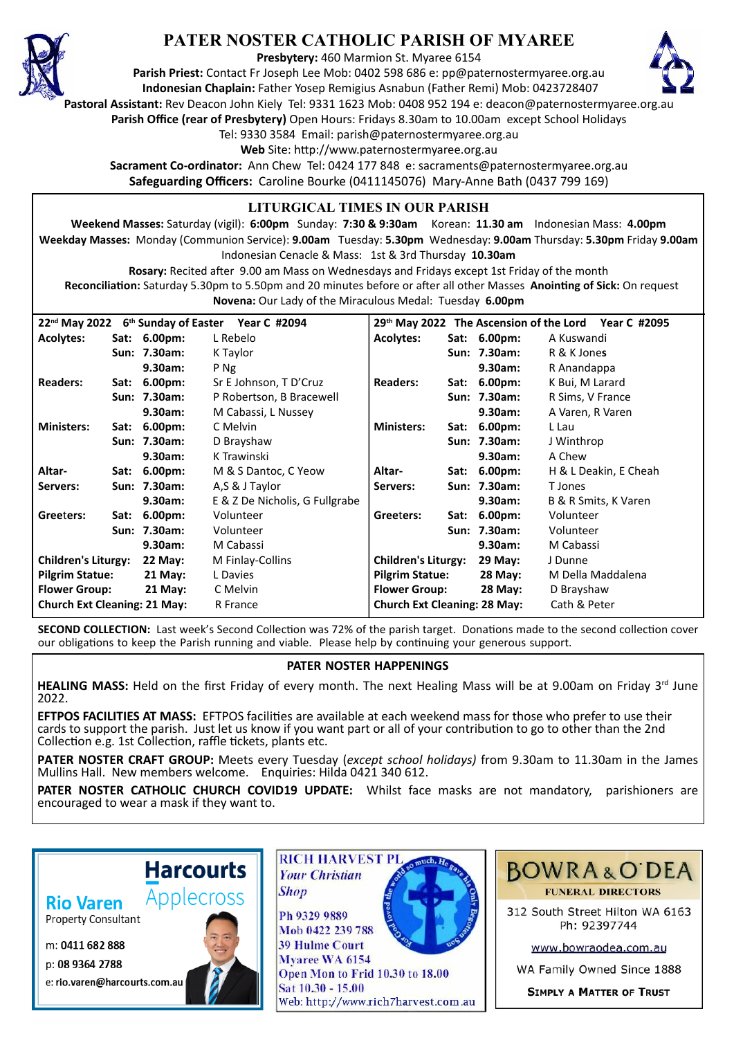

## **PATER NOSTER CATHOLIC PARISH OF MYAREE**

**Presbytery:** 460 Marmion St. Myaree 6154

**Parish Priest:** Contact Fr Joseph Lee Mob: 0402 598 686 e: pp@paternostermyaree.org.au **Indonesian Chaplain:** Father Yosep Remigius Asnabun (Father Remi) Mob: 0423728407



**Pastoral Assistant:** Rev Deacon John Kiely Tel: 9331 1623 Mob: 0408 952 194 e: deacon@paternostermyaree.org.au

**Parish Office (rear of Presbytery)** Open Hours: Fridays 8.30am to 10.00am except School Holidays

Tel: 9330 3584 Email: parish@paternostermyaree.org.au

Web Site: http://www.paternostermyaree.org.au

**Sacrament Co-ordinator:** Ann Chew Tel: 0424 177 848 e: sacraments@paternostermyaree.org.au **Safeguarding Officers:** Caroline Bourke (0411145076) Mary-Anne Bath (0437 799 169)

## **LITURGICAL TIMES IN OUR PARISH**

**Weekend Masses:** Saturday (vigil): **6:00pm** Sunday: **7:30 & 9:30am** Korean: **11.30 am** Indonesian Mass: **4.00pm Weekday Masses:** Monday (Communion Service): **9.00am** Tuesday: **5.30pm** Wednesday: **9.00am** Thursday: **5.30pm** Friday **9.00am** Indonesian Cenacle & Mass: 1st & 3rd Thursday **10.30am**

**Rosary:** Recited a�er 9.00 am Mass on Wednesdays and Fridays except 1st Friday of the month Reconciliation: Saturday 5.30pm to 5.50pm and 20 minutes before or after all other Masses Anointing of Sick: On request **Novena:** Our Lady of the Miraculous Medal: Tuesday **6.00pm**

| 22 <sup>nd</sup> May 2022<br>6 <sup>th</sup> Sunday of Easter Year C #2094<br>29 <sup>th</sup> May 2022 The Ascension of the Lord<br>Year C #2095 |      |                    |                                |                                     |      |                |                       |
|---------------------------------------------------------------------------------------------------------------------------------------------------|------|--------------------|--------------------------------|-------------------------------------|------|----------------|-----------------------|
| <b>Acolytes:</b>                                                                                                                                  |      | Sat: 6.00pm:       | L Rebelo                       | <b>Acolytes:</b>                    |      | Sat: 6.00pm:   | A Kuswandi            |
|                                                                                                                                                   |      | Sun: 7.30am:       | K Taylor                       |                                     |      | Sun: 7.30am:   | R & K Jones           |
|                                                                                                                                                   |      | 9.30am:            | P Ng                           |                                     |      | 9.30am:        | R Anandappa           |
| <b>Readers:</b>                                                                                                                                   |      | Sat: 6.00pm:       | Sr E Johnson, T D'Cruz         | <b>Readers:</b>                     |      | Sat: 6.00pm:   | K Bui, M Larard       |
|                                                                                                                                                   |      | Sun: 7.30am:       | P Robertson, B Bracewell       |                                     |      | Sun: 7.30am:   | R Sims, V France      |
|                                                                                                                                                   |      | 9.30am:            | M Cabassi, L Nussey            |                                     |      | 9.30am:        | A Varen, R Varen      |
| <b>Ministers:</b>                                                                                                                                 | Sat: | 6.00 <sub>pm</sub> | C Melvin                       | <b>Ministers:</b>                   | Sat: | 6.00pm:        | L Lau                 |
|                                                                                                                                                   |      | Sun: 7.30am:       | D Brayshaw                     |                                     |      | Sun: 7.30am:   | J Winthrop            |
|                                                                                                                                                   |      | 9.30am:            | K Trawinski                    |                                     |      | 9.30am:        | A Chew                |
| Altar-                                                                                                                                            |      | Sat: 6.00pm:       | M & S Dantoc, C Yeow           | Altar-                              |      | Sat: 6.00pm:   | H & L Deakin, E Cheah |
| Servers:                                                                                                                                          |      | Sun: 7.30am:       | A,S & J Taylor                 | Servers:                            |      | Sun: 7.30am:   | T Jones               |
|                                                                                                                                                   |      | 9.30am:            | E & Z De Nicholis, G Fullgrabe |                                     |      | 9.30am:        | B & R Smits, K Varen  |
| Greeters:                                                                                                                                         | Sat: | $6.00pm$ :         | Volunteer                      | Greeters:                           |      | Sat: 6.00pm:   | Volunteer             |
|                                                                                                                                                   |      | Sun: 7.30am:       | Volunteer                      |                                     |      | Sun: 7.30am:   | Volunteer             |
|                                                                                                                                                   |      | 9.30am:            | M Cabassi                      |                                     |      | 9.30am:        | M Cabassi             |
| <b>Children's Liturgy:</b>                                                                                                                        |      | <b>22 May:</b>     | M Finlay-Collins               | <b>Children's Liturgy:</b>          |      | <b>29 May:</b> | J Dunne               |
| <b>Pilgrim Statue:</b>                                                                                                                            |      | 21 May:            | L Davies                       | <b>Pilgrim Statue:</b>              |      | 28 May:        | M Della Maddalena     |
| <b>Flower Group:</b>                                                                                                                              |      | $21$ May:          | C Melvin                       | <b>Flower Group:</b>                |      | <b>28 May:</b> | D Brayshaw            |
| <b>Church Ext Cleaning: 21 May:</b>                                                                                                               |      |                    | R France                       | <b>Church Ext Cleaning: 28 May:</b> |      |                | Cath & Peter          |

**SECOND COLLECTION:** Last week's Second Collection was 72% of the parish target. Donations made to the second collection cover our obligations to keep the Parish running and viable. Please help by continuing your generous support.

## **PATER NOSTER HAPPENINGS**

**HEALING MASS:** Held on the first Friday of every month. The next Healing Mass will be at 9.00am on Friday 3<sup>rd</sup> June 2022.

**EFTPOS FACILITIES AT MASS:** EFTPOS facili�es are available at each weekend mass for those who prefer to use their cards to support the parish. Just let us know if you want part or all of your contribution to go to other than the 2nd Collection e.g. 1st Collection, raffle tickets, plants etc.

**PATER NOSTER CRAFT GROUP:** Meets every Tuesday (*except school holidays)* from 9.30am to 11.30am in the James Mullins Hall. New members welcome. Enquiries: Hilda 0421 340 612.

**PATER NOSTER CATHOLIC CHURCH COVID19 UPDATE:** Whilst face masks are not mandatory, parishioners are encouraged to wear a mask if they want to.

**Rio Varen** 

**Property Consultant** 

m: 0411 682 888

p: 08 9364 2788 e: rio.varen@harcourts.com.au



**Harcourts** 



**39 Hulme Court** Myaree WA 6154 Open Mon to Frid 10.30 to 18.00 Sat 10.30 - 15.00 Web: http://www.rich7harvest.com.au



312 South Street Hilton WA 6163 Ph: 92397744

www.bowraodea.com.au

WA Family Owned Since 1888

**SIMPLY A MATTER OF TRUST**